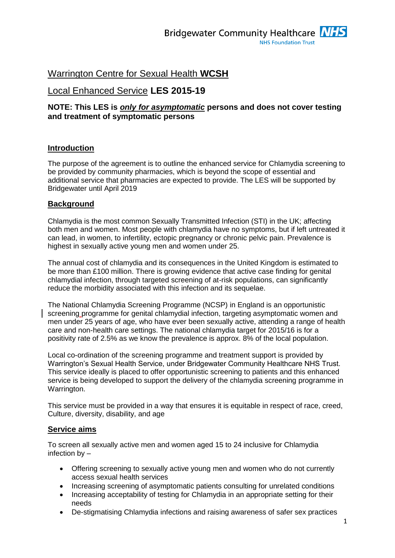# Warrington Centre for Sexual Health **WCSH**

# Local Enhanced Service **LES 2015-19**

# **NOTE: This LES is** *only for asymptomatic* **persons and does not cover testing and treatment of symptomatic persons**

# **Introduction**

The purpose of the agreement is to outline the enhanced service for Chlamydia screening to be provided by community pharmacies, which is beyond the scope of essential and additional service that pharmacies are expected to provide. The LES will be supported by Bridgewater until April 2019

### **Background**

Chlamydia is the most common Sexually Transmitted Infection (STI) in the UK; affecting both men and women. Most people with chlamydia have no symptoms, but if left untreated it can lead, in women, to infertility, ectopic pregnancy or chronic pelvic pain. Prevalence is highest in sexually active young men and women under 25.

The annual cost of chlamydia and its consequences in the United Kingdom is estimated to be more than £100 million. There is growing evidence that active case finding for genital chlamydial infection, through targeted screening of at-risk populations, can significantly reduce the morbidity associated with this infection and its sequelae.

The National Chlamydia Screening Programme (NCSP) in England is an opportunistic screening programme for genital chlamydial infection, targeting asymptomatic women and men under 25 years of age, who have ever been sexually active, attending a range of health care and non-health care settings. The national chlamydia target for 2015/16 is for a positivity rate of 2.5% as we know the prevalence is approx. 8% of the local population.

Local co-ordination of the screening programme and treatment support is provided by Warrington's Sexual Health Service, under Bridgewater Community Healthcare NHS Trust. This service ideally is placed to offer opportunistic screening to patients and this enhanced service is being developed to support the delivery of the chlamydia screening programme in Warrington.

This service must be provided in a way that ensures it is equitable in respect of race, creed, Culture, diversity, disability, and age

# **Service aims**

To screen all sexually active men and women aged 15 to 24 inclusive for Chlamydia infection by –

- Offering screening to sexually active young men and women who do not currently access sexual health services
- Increasing screening of asymptomatic patients consulting for unrelated conditions
- Increasing acceptability of testing for Chlamydia in an appropriate setting for their needs
- De-stigmatising Chlamydia infections and raising awareness of safer sex practices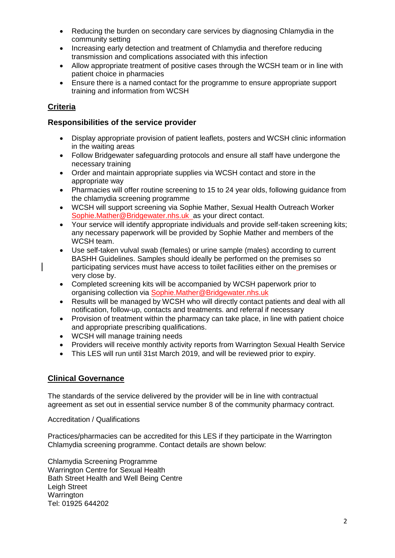- Reducing the burden on secondary care services by diagnosing Chlamydia in the community setting
- Increasing early detection and treatment of Chlamydia and therefore reducing transmission and complications associated with this infection
- Allow appropriate treatment of positive cases through the WCSH team or in line with patient choice in pharmacies
- Ensure there is a named contact for the programme to ensure appropriate support training and information from WCSH

# **Criteria**

# **Responsibilities of the service provider**

- Display appropriate provision of patient leaflets, posters and WCSH clinic information in the waiting areas
- Follow Bridgewater safeguarding protocols and ensure all staff have undergone the necessary training
- Order and maintain appropriate supplies via WCSH contact and store in the appropriate way
- Pharmacies will offer routine screening to 15 to 24 year olds, following guidance from the chlamydia screening programme
- WCSH will support screening via Sophie Mather, Sexual Health Outreach Worker [Sophie.Mather@Bridgewater.nhs.uk](mailto:Sophie.Mather@Bridgewater.nhs.uk) as your direct contact.
- Your service will identify appropriate individuals and provide self-taken screening kits; any necessary paperwork will be provided by Sophie Mather and members of the WCSH team.
- Use self-taken vulval swab (females) or urine sample (males) according to current BASHH Guidelines. Samples should ideally be performed on the premises so participating services must have access to toilet facilities either on the premises or very close by.
- Completed screening kits will be accompanied by WCSH paperwork prior to organising collection via [Sophie.Mather@Bridgewater.nhs.uk](mailto:Sophie.Mather@Bridgewater.nhs.uk)
- Results will be managed by WCSH who will directly contact patients and deal with all notification, follow-up, contacts and treatments. and referral if necessary
- Provision of treatment within the pharmacy can take place, in line with patient choice and appropriate prescribing qualifications.
- WCSH will manage training needs
- Providers will receive monthly activity reports from Warrington Sexual Health Service
- This LES will run until 31st March 2019, and will be reviewed prior to expiry.

# **Clinical Governance**

The standards of the service delivered by the provider will be in line with contractual agreement as set out in essential service number 8 of the community pharmacy contract.

Accreditation / Qualifications

Practices/pharmacies can be accredited for this LES if they participate in the Warrington Chlamydia screening programme. Contact details are shown below:

Chlamydia Screening Programme Warrington Centre for Sexual Health Bath Street Health and Well Being Centre Leigh Street **Warrington** Tel: 01925 644202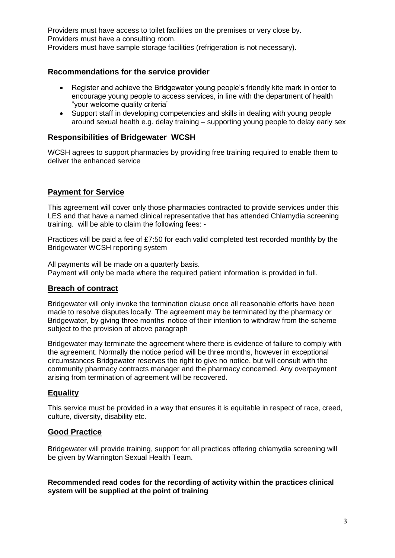Providers must have access to toilet facilities on the premises or very close by. Providers must have a consulting room.

Providers must have sample storage facilities (refrigeration is not necessary).

# **Recommendations for the service provider**

- Register and achieve the Bridgewater young people's friendly kite mark in order to encourage young people to access services, in line with the department of health "your welcome quality criteria"
- Support staff in developing competencies and skills in dealing with young people around sexual health e.g. delay training – supporting young people to delay early sex

### **Responsibilities of Bridgewater WCSH**

WCSH agrees to support pharmacies by providing free training required to enable them to deliver the enhanced service

# **Payment for Service**

This agreement will cover only those pharmacies contracted to provide services under this LES and that have a named clinical representative that has attended Chlamydia screening training. will be able to claim the following fees: -

Practices will be paid a fee of £7:50 for each valid completed test recorded monthly by the Bridgewater WCSH reporting system

All payments will be made on a quarterly basis. Payment will only be made where the required patient information is provided in full.

# **Breach of contract**

Bridgewater will only invoke the termination clause once all reasonable efforts have been made to resolve disputes locally. The agreement may be terminated by the pharmacy or Bridgewater, by giving three months' notice of their intention to withdraw from the scheme subject to the provision of above paragraph

Bridgewater may terminate the agreement where there is evidence of failure to comply with the agreement. Normally the notice period will be three months, however in exceptional circumstances Bridgewater reserves the right to give no notice, but will consult with the community pharmacy contracts manager and the pharmacy concerned. Any overpayment arising from termination of agreement will be recovered.

# **Equality**

This service must be provided in a way that ensures it is equitable in respect of race, creed, culture, diversity, disability etc.

#### **Good Practice**

Bridgewater will provide training, support for all practices offering chlamydia screening will be given by Warrington Sexual Health Team.

#### **Recommended read codes for the recording of activity within the practices clinical system will be supplied at the point of training**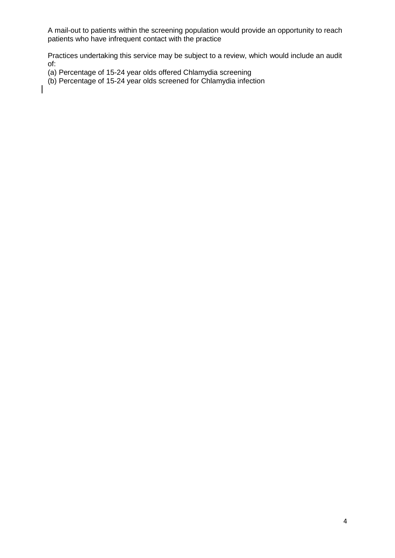A mail-out to patients within the screening population would provide an opportunity to reach patients who have infrequent contact with the practice

Practices undertaking this service may be subject to a review, which would include an audit of:

- (a) Percentage of 15-24 year olds offered Chlamydia screening
- (b) Percentage of 15-24 year olds screened for Chlamydia infection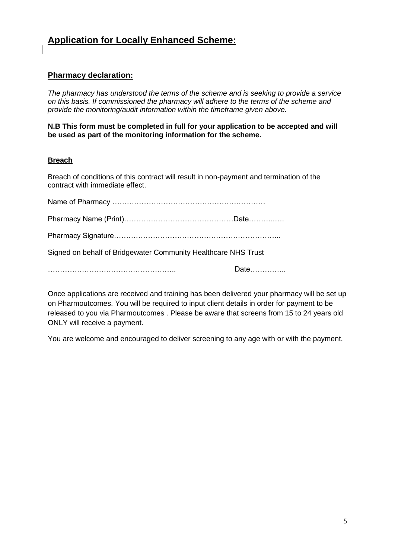# **Application for Locally Enhanced Scheme:**

# **Pharmacy declaration:**

*The pharmacy has understood the terms of the scheme and is seeking to provide a service on this basis. If commissioned the pharmacy will adhere to the terms of the scheme and provide the monitoring/audit information within the timeframe given above.*

**N.B This form must be completed in full for your application to be accepted and will be used as part of the monitoring information for the scheme.**

### **Breach**

Breach of conditions of this contract will result in non-payment and termination of the contract with immediate effect.

| Signed on behalf of Bridgewater Community Healthcare NHS Trust |      |
|----------------------------------------------------------------|------|
|                                                                | Date |

Once applications are received and training has been delivered your pharmacy will be set up on Pharmoutcomes. You will be required to input client details in order for payment to be released to you via Pharmoutcomes . Please be aware that screens from 15 to 24 years old ONLY will receive a payment.

You are welcome and encouraged to deliver screening to any age with or with the payment.